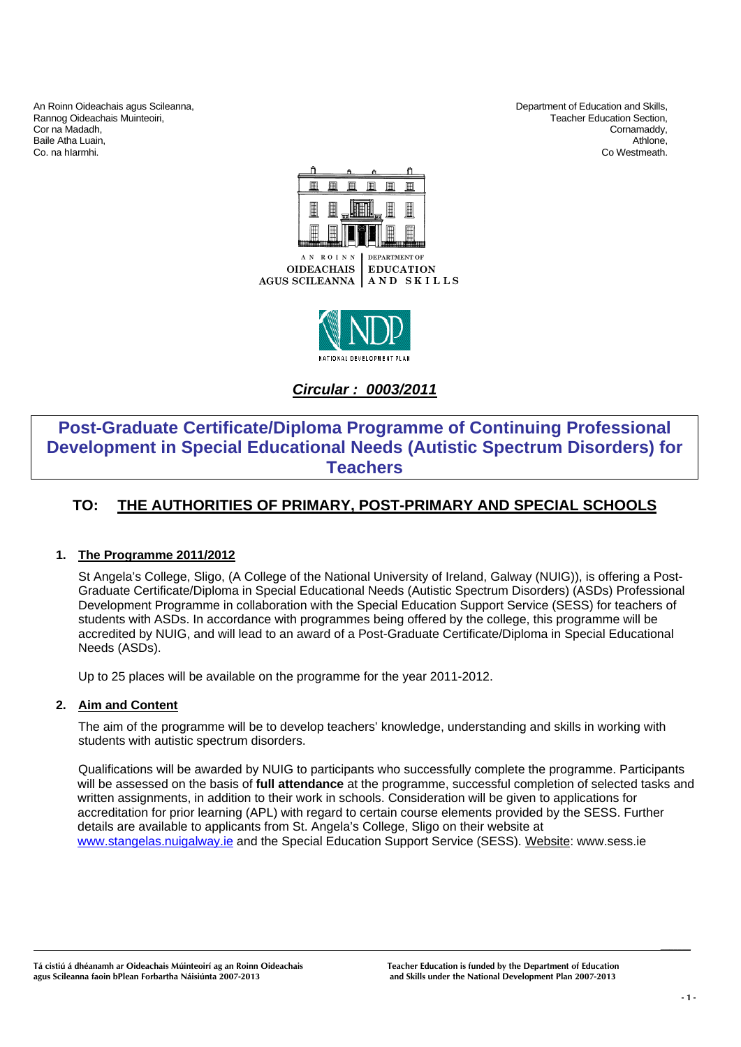An Roinn Oideachais agus Scileanna,<br>
Rannog Oideachais Muinteoiri, Christian and Skills, Department of Education and Skills, Christian and Skills,<br>
Department of Education Section, Rannog Oideachais Muinteoiri, and the community of the community of the community of the community of the community of the community of the community of the community of the community of the community of the community of t Cor na Madadh, Cornamaddy, Cornamaddy, Cornamaddy, Cornamaddy, Cornamaddy, Cornamaddy, Cornamaddy, Cornamaddy, Cornamaddy, Cornamaddy, Cornamaddy, Cornamaddy, Cornamaddy, Cornamaddy, Cornamaddy, Cornamaddy, Cornamaddy, Cor Baile Atha Luain, Athlone, Athlone, Athlone, Athlone, Athlone, Athlone, Athlone, Athlone, Athlone, Athlone, Athlone, Athlone, Athlone, Athlone, Athlone, Athlone, Athlone, Athlone, Athlone, Athlone, Athlone, Athlone, Athlon

Co. na hIarmhi. Co Westmeath.





*Circular : 0003/2011*

## **Post-Graduate Certificate/Diploma Programme of Continuing Professional Development in Special Educational Needs (Autistic Spectrum Disorders) for Teachers**

## **TO: THE AUTHORITIES OF PRIMARY, POST-PRIMARY AND SPECIAL SCHOOLS**

## **1. The Programme 2011/2012**

St Angela's College, Sligo, (A College of the National University of Ireland, Galway (NUIG)), is offering a Post-Graduate Certificate/Diploma in Special Educational Needs (Autistic Spectrum Disorders) (ASDs) Professional Development Programme in collaboration with the Special Education Support Service (SESS) for teachers of students with ASDs. In accordance with programmes being offered by the college, this programme will be accredited by NUIG, and will lead to an award of a Post-Graduate Certificate/Diploma in Special Educational Needs (ASDs).

Up to 25 places will be available on the programme for the year 2011-2012.

## **2. Aim and Content**

The aim of the programme will be to develop teachers' knowledge, understanding and skills in working with students with autistic spectrum disorders.

Qualifications will be awarded by NUIG to participants who successfully complete the programme. Participants will be assessed on the basis of **full attendance** at the programme, successful completion of selected tasks and written assignments, in addition to their work in schools. Consideration will be given to applications for accreditation for prior learning (APL) with regard to certain course elements provided by the SESS. Further details are available to applicants from St. Angela's College, Sligo on their website at www.stangelas.nuigalway.ie and the Special Education Support Service (SESS). Website: www.sess.ie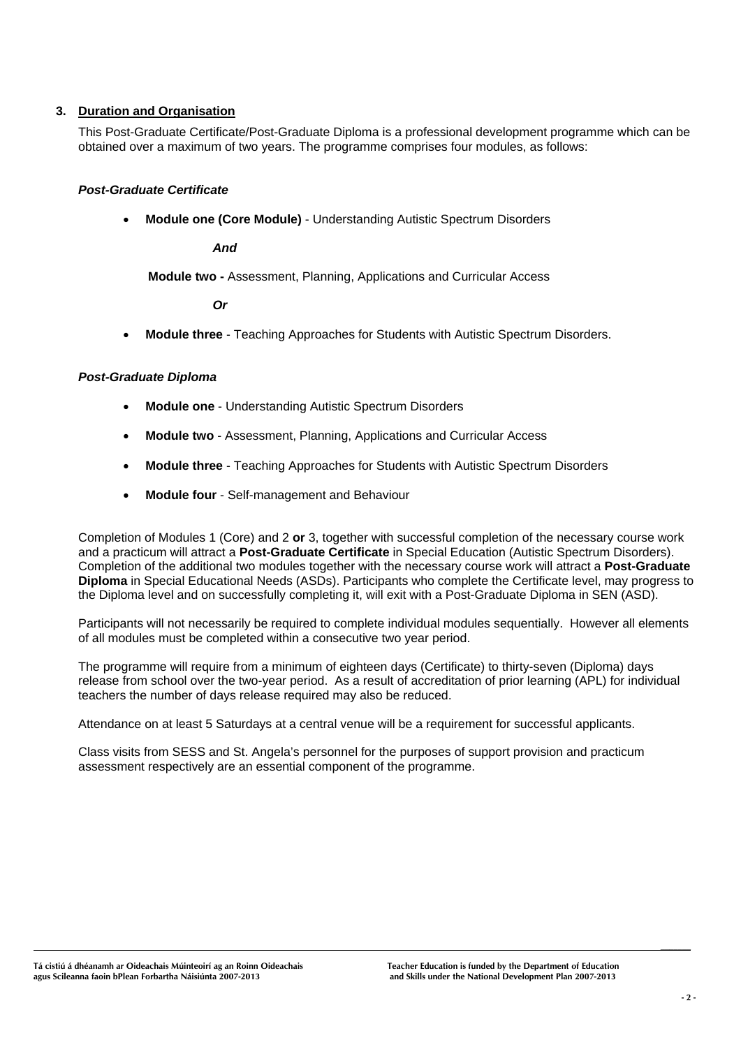## **3. Duration and Organisation**

This Post-Graduate Certificate/Post-Graduate Diploma is a professional development programme which can be obtained over a maximum of two years. The programme comprises four modules, as follows:

## *Post-Graduate Certificate*

• **Module one (Core Module)** - Understanding Autistic Spectrum Disorders

*And* 

**Module two -** Assessment, Planning, Applications and Curricular Access

 *Or* 

• **Module three** - Teaching Approaches for Students with Autistic Spectrum Disorders.

## *Post-Graduate Diploma*

- **Module one** Understanding Autistic Spectrum Disorders
- **Module two** Assessment, Planning, Applications and Curricular Access
- **Module three** Teaching Approaches for Students with Autistic Spectrum Disorders
- **Module four** Self-management and Behaviour

Completion of Modules 1 (Core) and 2 **or** 3, together with successful completion of the necessary course work and a practicum will attract a **Post-Graduate Certificate** in Special Education (Autistic Spectrum Disorders). Completion of the additional two modules together with the necessary course work will attract a **Post-Graduate Diploma** in Special Educational Needs (ASDs). Participants who complete the Certificate level, may progress to the Diploma level and on successfully completing it, will exit with a Post-Graduate Diploma in SEN (ASD).

Participants will not necessarily be required to complete individual modules sequentially. However all elements of all modules must be completed within a consecutive two year period.

The programme will require from a minimum of eighteen days (Certificate) to thirty-seven (Diploma) days release from school over the two-year period. As a result of accreditation of prior learning (APL) for individual teachers the number of days release required may also be reduced.

Attendance on at least 5 Saturdays at a central venue will be a requirement for successful applicants.

Class visits from SESS and St. Angela's personnel for the purposes of support provision and practicum assessment respectively are an essential component of the programme.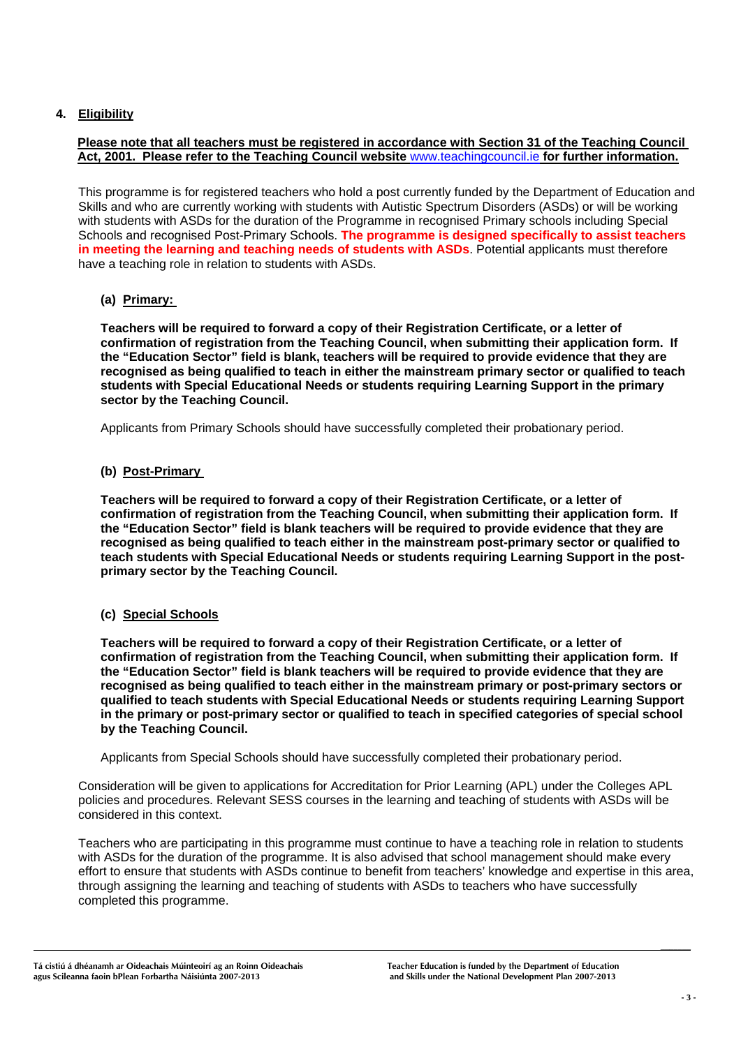## **4. Eligibility**

## **Please note that all teachers must be registered in accordance with Section 31 of the Teaching Council Act, 2001. Please refer to the Teaching Council website** www.teachingcouncil.ie **for further information.**

This programme is for registered teachers who hold a post currently funded by the Department of Education and Skills and who are currently working with students with Autistic Spectrum Disorders (ASDs) or will be working with students with ASDs for the duration of the Programme in recognised Primary schools including Special Schools and recognised Post-Primary Schools. **The programme is designed specifically to assist teachers in meeting the learning and teaching needs of students with ASDs**. Potential applicants must therefore have a teaching role in relation to students with ASDs.

## **(a) Primary:**

**Teachers will be required to forward a copy of their Registration Certificate, or a letter of confirmation of registration from the Teaching Council, when submitting their application form. If the "Education Sector" field is blank, teachers will be required to provide evidence that they are recognised as being qualified to teach in either the mainstream primary sector or qualified to teach students with Special Educational Needs or students requiring Learning Support in the primary sector by the Teaching Council.** 

Applicants from Primary Schools should have successfully completed their probationary period.

## **(b) Post-Primary**

**Teachers will be required to forward a copy of their Registration Certificate, or a letter of confirmation of registration from the Teaching Council, when submitting their application form. If the "Education Sector" field is blank teachers will be required to provide evidence that they are recognised as being qualified to teach either in the mainstream post-primary sector or qualified to teach students with Special Educational Needs or students requiring Learning Support in the postprimary sector by the Teaching Council.** 

## **(c) Special Schools**

**Teachers will be required to forward a copy of their Registration Certificate, or a letter of confirmation of registration from the Teaching Council, when submitting their application form. If the "Education Sector" field is blank teachers will be required to provide evidence that they are recognised as being qualified to teach either in the mainstream primary or post-primary sectors or qualified to teach students with Special Educational Needs or students requiring Learning Support in the primary or post-primary sector or qualified to teach in specified categories of special school by the Teaching Council.** 

Applicants from Special Schools should have successfully completed their probationary period.

Consideration will be given to applications for Accreditation for Prior Learning (APL) under the Colleges APL policies and procedures. Relevant SESS courses in the learning and teaching of students with ASDs will be considered in this context.

Teachers who are participating in this programme must continue to have a teaching role in relation to students with ASDs for the duration of the programme. It is also advised that school management should make every effort to ensure that students with ASDs continue to benefit from teachers' knowledge and expertise in this area, through assigning the learning and teaching of students with ASDs to teachers who have successfully completed this programme.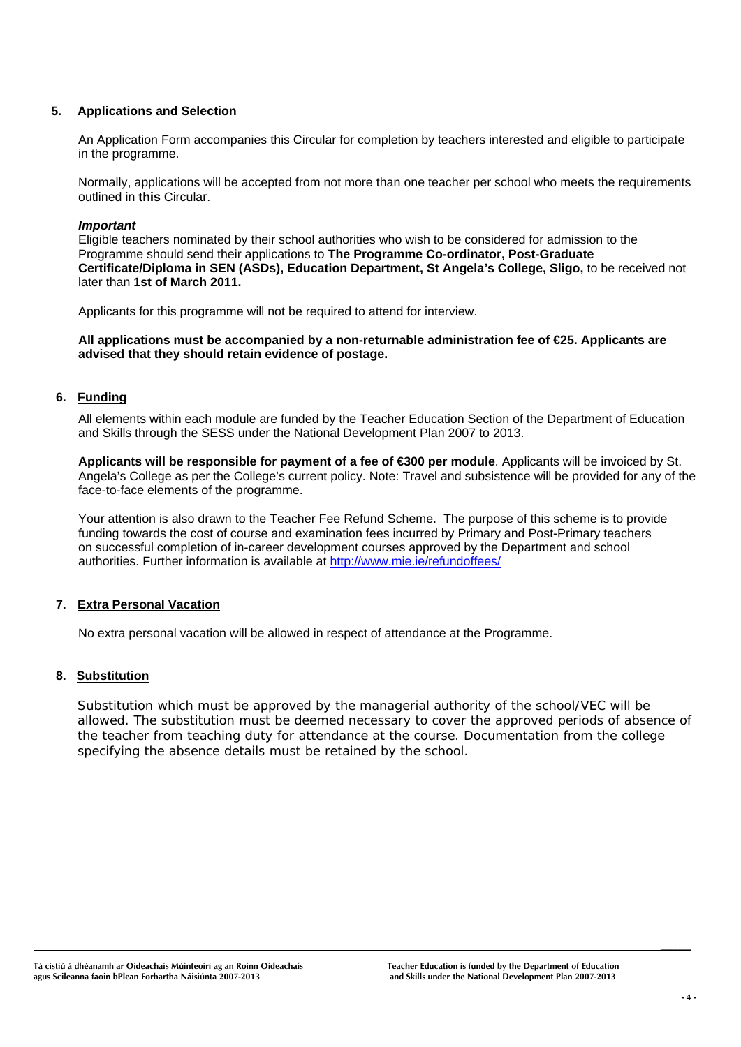## **5. Applications and Selection**

An Application Form accompanies this Circular for completion by teachers interested and eligible to participate in the programme.

Normally, applications will be accepted from not more than one teacher per school who meets the requirements outlined in **this** Circular.

## *Important*

Eligible teachers nominated by their school authorities who wish to be considered for admission to the Programme should send their applications to **The Programme Co-ordinator, Post-Graduate Certificate/Diploma in SEN (ASDs), Education Department, St Angela's College, Sligo,** to be received not later than **1st of March 2011.** 

Applicants for this programme will not be required to attend for interview.

**All applications must be accompanied by a non-returnable administration fee of €25. Applicants are advised that they should retain evidence of postage.** 

## **6. Funding**

All elements within each module are funded by the Teacher Education Section of the Department of Education and Skills through the SESS under the National Development Plan 2007 to 2013.

**Applicants will be responsible for payment of a fee of €300 per module**. Applicants will be invoiced by St. Angela's College as per the College's current policy. Note: Travel and subsistence will be provided for any of the face-to-face elements of the programme.

Your attention is also drawn to the Teacher Fee Refund Scheme. The purpose of this scheme is to provide funding towards the cost of course and examination fees incurred by Primary and Post-Primary teachers on successful completion of in-career development courses approved by the Department and school authorities. Further information is available at http://www.mie.ie/refundoffees/

## **7. Extra Personal Vacation**

No extra personal vacation will be allowed in respect of attendance at the Programme.

## **8. Substitution**

Substitution which must be approved by the managerial authority of the school/VEC will be allowed. The substitution must be deemed necessary to cover the approved periods of absence of the teacher from teaching duty for attendance at the course. Documentation from the college specifying the absence details must be retained by the school.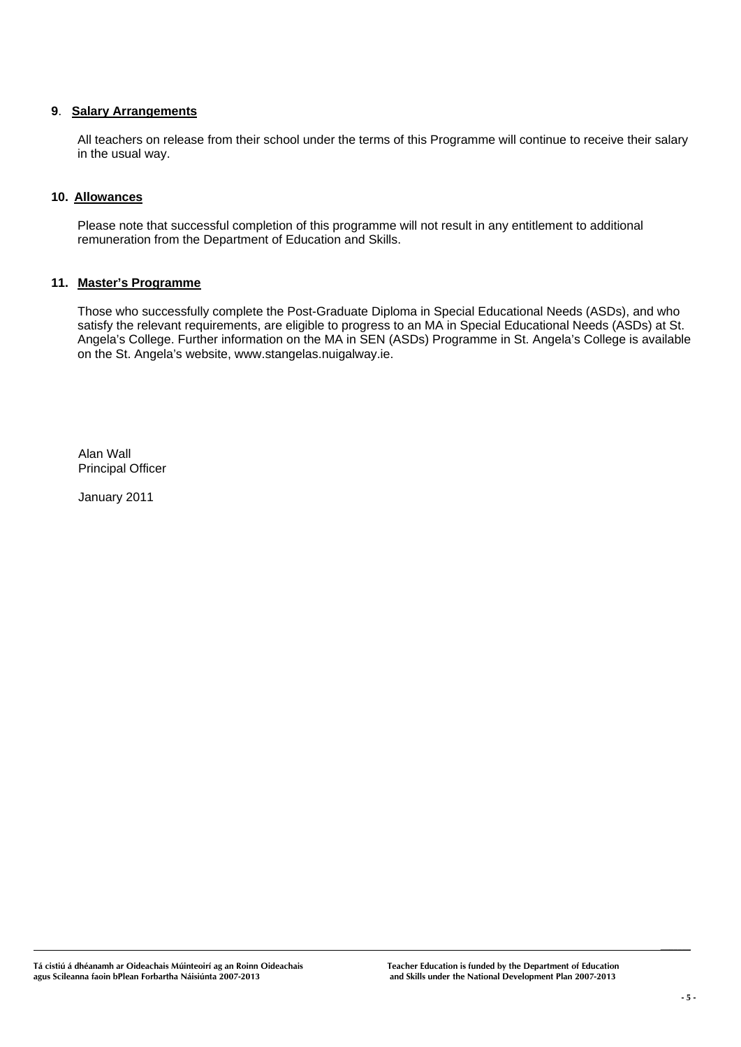## **9**. **Salary Arrangements**

All teachers on release from their school under the terms of this Programme will continue to receive their salary in the usual way.

## **10. Allowances**

Please note that successful completion of this programme will not result in any entitlement to additional remuneration from the Department of Education and Skills.

## **11. Master's Programme**

Those who successfully complete the Post-Graduate Diploma in Special Educational Needs (ASDs), and who satisfy the relevant requirements, are eligible to progress to an MA in Special Educational Needs (ASDs) at St. Angela's College. Further information on the MA in SEN (ASDs) Programme in St. Angela's College is available on the St. Angela's website, www.stangelas.nuigalway.ie.

 Alan Wall Principal Officer

January 2011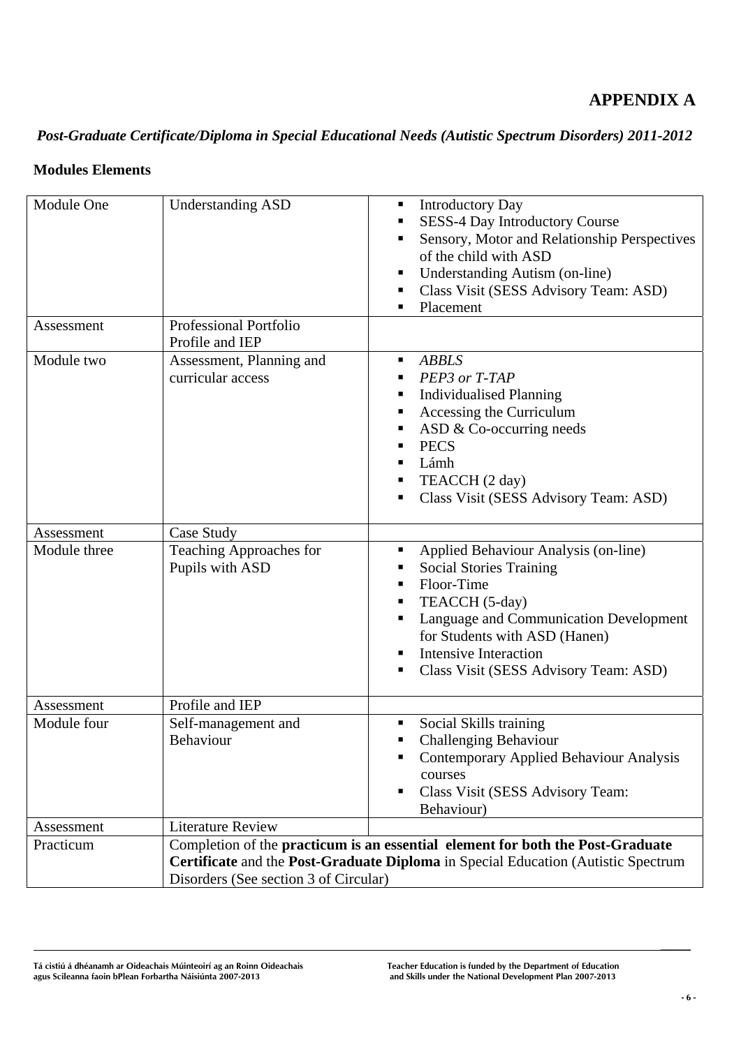## **APPENDIX A**

# *Post-Graduate Certificate/Diploma in Special Educational Needs (Autistic Spectrum Disorders) 2011-2012*

## **Modules Elements**

| Module One<br>Assessment | <b>Understanding ASD</b><br>Professional Portfolio | <b>Introductory Day</b><br>п<br>SESS-4 Day Introductory Course<br>٠<br>Sensory, Motor and Relationship Perspectives<br>of the child with ASD<br>Understanding Autism (on-line)<br>ш<br>Class Visit (SESS Advisory Team: ASD)<br>Placement                                                |
|--------------------------|----------------------------------------------------|------------------------------------------------------------------------------------------------------------------------------------------------------------------------------------------------------------------------------------------------------------------------------------------|
|                          | Profile and IEP                                    |                                                                                                                                                                                                                                                                                          |
| Module two               | Assessment, Planning and<br>curricular access      | <b>ABBLS</b><br>٠<br>PEP3 or T-TAP<br>٠<br><b>Individualised Planning</b><br>٠<br>Accessing the Curriculum<br>٠<br>ASD & Co-occurring needs<br><b>PECS</b><br>Lámh<br>٠<br>TEACCH (2 day)<br>٠<br>Class Visit (SESS Advisory Team: ASD)<br>٠                                             |
| Assessment               | Case Study                                         |                                                                                                                                                                                                                                                                                          |
| Module three             | Teaching Approaches for<br>Pupils with ASD         | Applied Behaviour Analysis (on-line)<br>п<br><b>Social Stories Training</b><br>п<br>Floor-Time<br>٠<br>TEACCH (5-day)<br>ш<br>Language and Communication Development<br>for Students with ASD (Hanen)<br><b>Intensive Interaction</b><br>٠<br>Class Visit (SESS Advisory Team: ASD)<br>٠ |
| Assessment               | Profile and IEP                                    |                                                                                                                                                                                                                                                                                          |
| Module four              | Self-management and<br>Behaviour                   | Social Skills training<br>ш<br><b>Challenging Behaviour</b><br>٠<br>Contemporary Applied Behaviour Analysis<br>٠<br>courses<br>Class Visit (SESS Advisory Team:<br>٠<br>Behaviour)                                                                                                       |
| Assessment               | <b>Literature Review</b>                           |                                                                                                                                                                                                                                                                                          |
| Practicum                | Disorders (See section 3 of Circular)              | Completion of the practicum is an essential element for both the Post-Graduate<br>Certificate and the Post-Graduate Diploma in Special Education (Autistic Spectrum                                                                                                                      |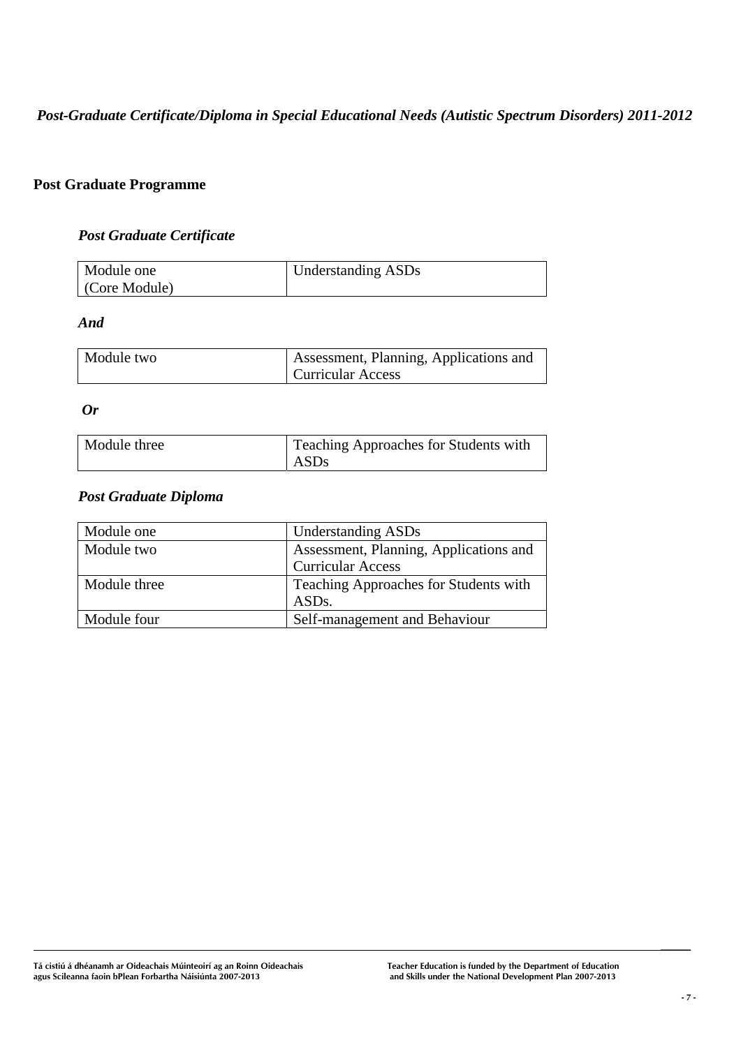*Post-Graduate Certificate/Diploma in Special Educational Needs (Autistic Spectrum Disorders) 2011-2012* 

## **Post Graduate Programme**

## *Post Graduate Certificate*

| Module one    | <b>Understanding ASDs</b> |
|---------------|---------------------------|
| (Core Module) |                           |

## *And*

| Module two | Assessment, Planning, Applications and |  |  |
|------------|----------------------------------------|--|--|
|            | <b>Curricular Access</b>               |  |  |

*Or* 

| Module three | Teaching Approaches for Students with<br>ASDs |
|--------------|-----------------------------------------------|
|              |                                               |

## *Post Graduate Diploma*

| Module one   | <b>Understanding ASDs</b>              |
|--------------|----------------------------------------|
| Module two   | Assessment, Planning, Applications and |
|              | <b>Curricular Access</b>               |
| Module three | Teaching Approaches for Students with  |
|              | ASD <sub>s</sub> .                     |
| Module four  | Self-management and Behaviour          |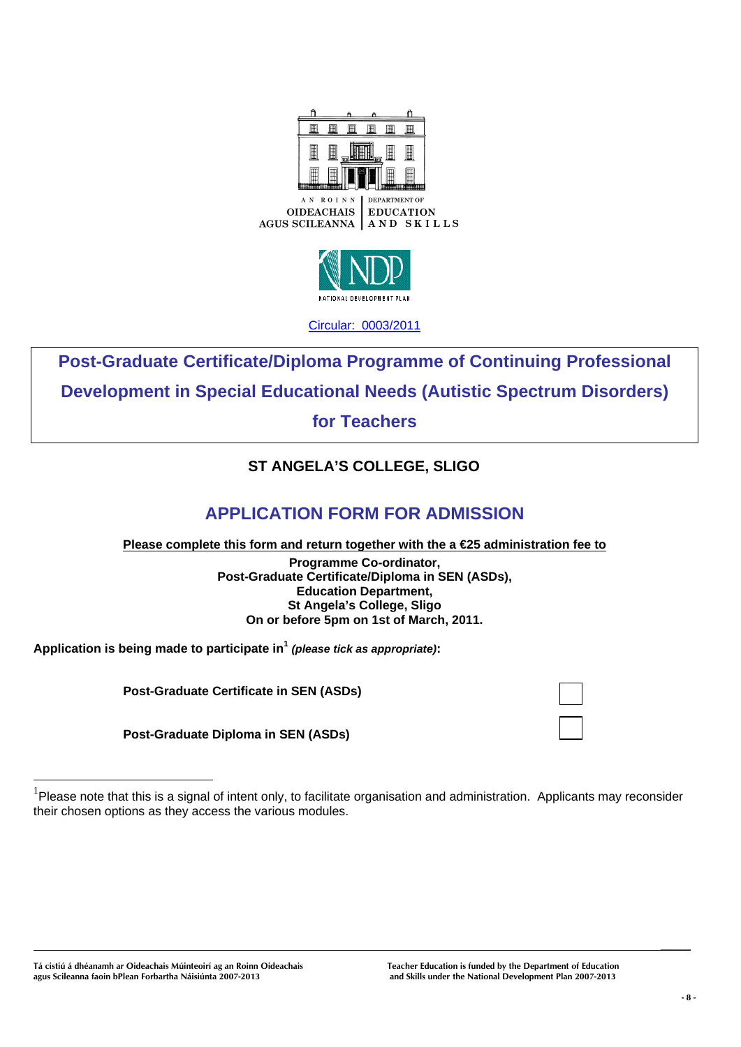



**Post-Graduate Certificate/Diploma Programme of Continuing Professional Development in Special Educational Needs (Autistic Spectrum Disorders)** 

**for Teachers**

# **ST ANGELA'S COLLEGE, SLIGO**

# **APPLICATION FORM FOR ADMISSION**

**Please complete this form and return together with the a €25 administration fee to**

**Programme Co-ordinator, Post-Graduate Certificate/Diploma in SEN (ASDs), Education Department, St Angela's College, Sligo On or before 5pm on 1st of March, 2011.** 

**Application is being made to participate in1** *(please tick as appropriate)***:** 

 **Post-Graduate Certificate in SEN (ASDs)** 

 **Post-Graduate Diploma in SEN (ASDs)** 

 $\overline{a}$ 

 $1$ Please note that this is a signal of intent only, to facilitate organisation and administration. Applicants may reconsider their chosen options as they access the various modules.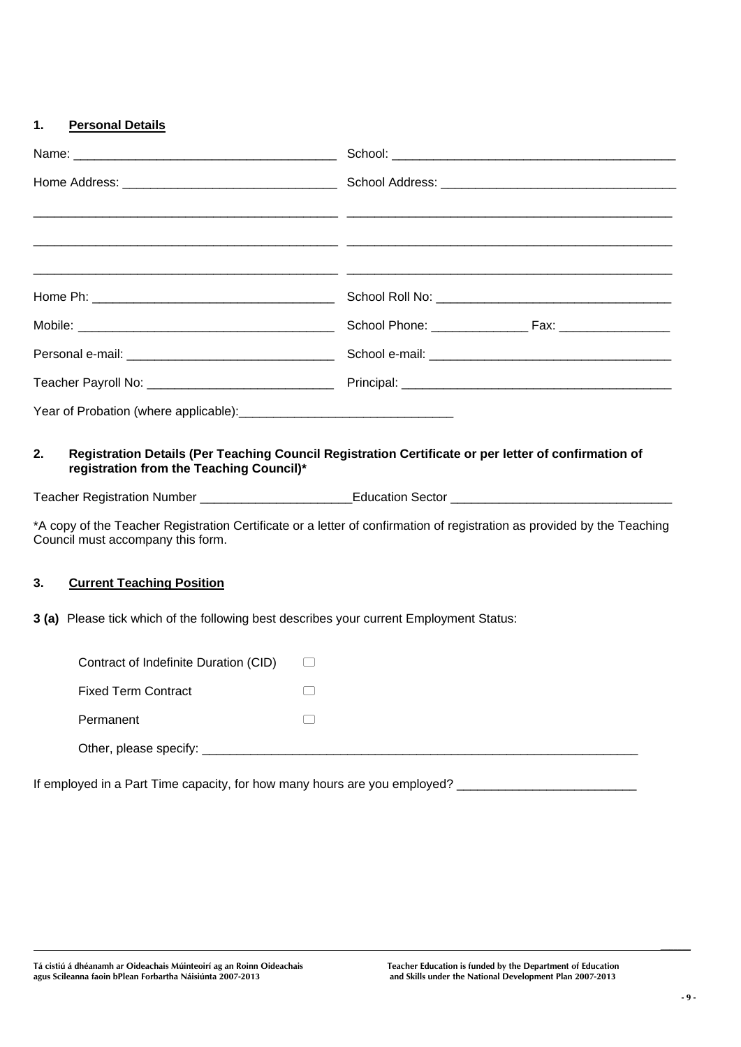## **1. Personal Details**

|    |                                                                               | <u> 1999 - Jan James James James James James James James James James James James James James James James James J</u>                                                                                                            |
|----|-------------------------------------------------------------------------------|---------------------------------------------------------------------------------------------------------------------------------------------------------------------------------------------------------------------------------|
|    |                                                                               |                                                                                                                                                                                                                                 |
|    |                                                                               |                                                                                                                                                                                                                                 |
|    |                                                                               |                                                                                                                                                                                                                                 |
|    |                                                                               |                                                                                                                                                                                                                                 |
|    |                                                                               |                                                                                                                                                                                                                                 |
| 2. | registration from the Teaching Council)*<br>Council must accompany this form. | Registration Details (Per Teaching Council Registration Certificate or per letter of confirmation of<br>*A copy of the Teacher Registration Certificate or a letter of confirmation of registration as provided by the Teaching |
| 3. | <b>Current Teaching Position</b>                                              |                                                                                                                                                                                                                                 |
|    |                                                                               | 3 (a) Please tick which of the following best describes your current Employment Status:                                                                                                                                         |
|    | Contract of Indefinite Duration (CID)                                         | $\Box$                                                                                                                                                                                                                          |
|    | <b>Fixed Term Contract</b>                                                    |                                                                                                                                                                                                                                 |
|    | Permanent                                                                     |                                                                                                                                                                                                                                 |
|    |                                                                               |                                                                                                                                                                                                                                 |

If employed in a Part Time capacity, for how many hours are you employed? \_\_\_\_\_\_\_\_\_\_\_\_\_\_\_\_\_\_\_\_\_\_\_\_\_\_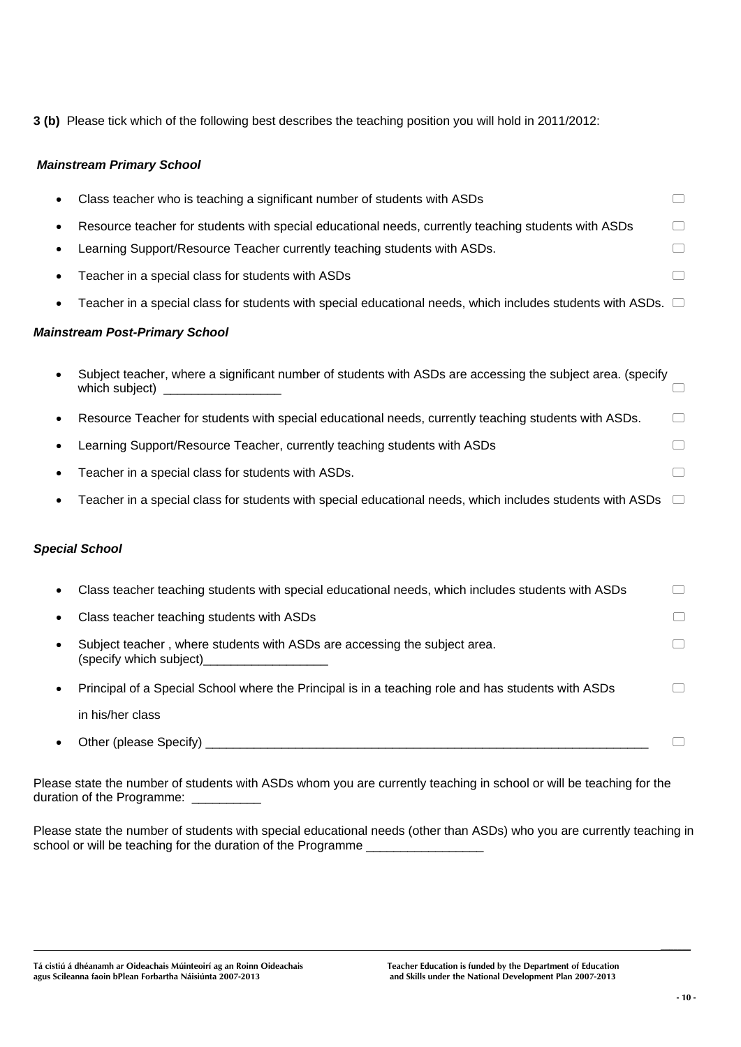**3 (b)** Please tick which of the following best describes the teaching position you will hold in 2011/2012:

## *Mainstream Primary School*

|           | Class teacher who is teaching a significant number of students with ASDs                                                     | □                                      |
|-----------|------------------------------------------------------------------------------------------------------------------------------|----------------------------------------|
|           | Resource teacher for students with special educational needs, currently teaching students with ASDs                          |                                        |
|           | Learning Support/Resource Teacher currently teaching students with ASDs.                                                     |                                        |
|           | Teacher in a special class for students with ASDs                                                                            |                                        |
| $\bullet$ | Teacher in a special class for students with special educational needs, which includes students with ASDs. $\Box$            |                                        |
|           | <b>Mainstream Post-Primary School</b>                                                                                        |                                        |
| $\bullet$ | Subject teacher, where a significant number of students with ASDs are accessing the subject area. (specify<br>which subject) |                                        |
| ٠         | Resource Teacher for students with special educational needs, currently teaching students with ASDs.                         | □                                      |
| ٠         | Learning Support/Resource Teacher, currently teaching students with ASDs                                                     | □                                      |
|           | Teacher in a special class for students with ASDs.                                                                           |                                        |
|           | Teacher in a special class for students with special educational needs, which includes students with ASDs                    | $\begin{pmatrix} 1 \\ 1 \end{pmatrix}$ |
|           | <b>Special School</b>                                                                                                        |                                        |
| $\bullet$ | Class teacher teaching students with special educational needs, which includes students with ASDs                            | □                                      |
|           | Class teacher teaching students with ASDs                                                                                    |                                        |
| $\bullet$ | Subject teacher, where students with ASDs are accessing the subject area.<br>(specify which subject)                         |                                        |
| $\bullet$ | Principal of a Special School where the Principal is in a teaching role and has students with ASDs                           |                                        |
|           | in his/her class                                                                                                             |                                        |
|           | Other (please Specify)                                                                                                       |                                        |

Please state the number of students with ASDs whom you are currently teaching in school or will be teaching for the duration of the Programme:

Please state the number of students with special educational needs (other than ASDs) who you are currently teaching in school or will be teaching for the duration of the Programme \_\_\_\_\_\_\_\_\_\_\_\_\_\_\_\_\_\_\_\_

**Tá cistiú á dhéanamh ar Oideachais Múinteoirí ag an Roinn Oideachais Teacher Education is funded by the Department of Education**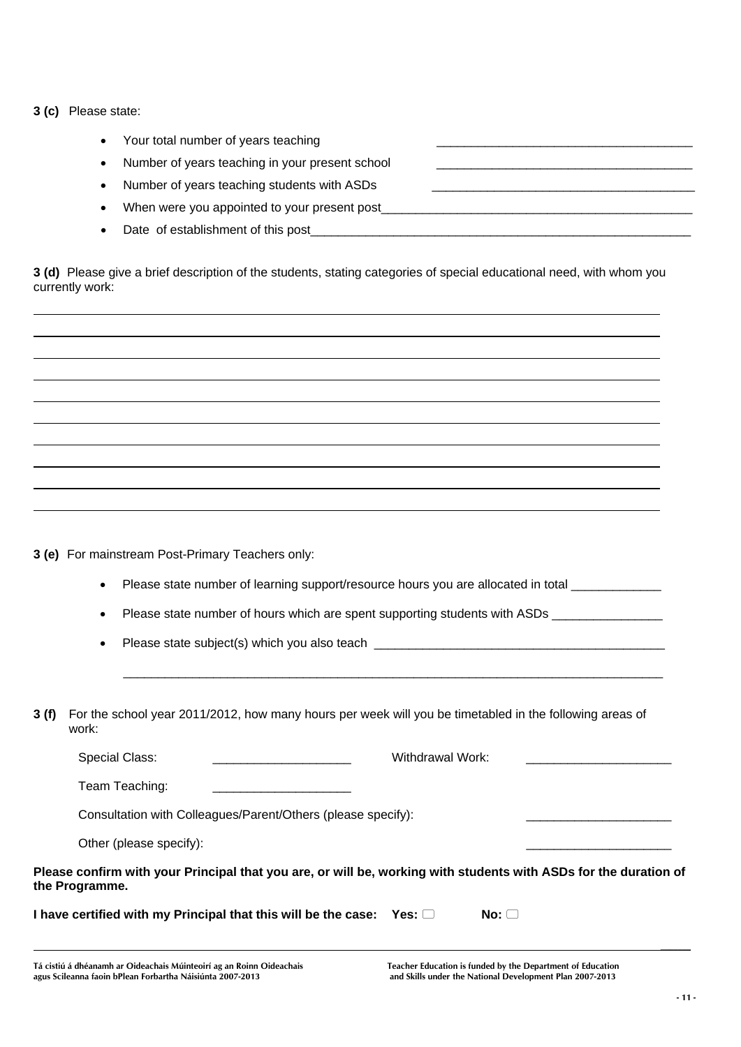|  |  | 3 (c) Please state: |  |
|--|--|---------------------|--|
|--|--|---------------------|--|

| Your total number of years teaching             |
|-------------------------------------------------|
| Number of years teaching in your present school |
| Number of years teaching students with ASDs     |
| When were you appointed to your present post    |
| Date of establishment of this post              |

**3 (d)** Please give a brief description of the students, stating categories of special educational need, with whom you currently work:

**3 (e)** For mainstream Post-Primary Teachers only:

Please state number of learning support/resource hours you are allocated in total \_\_\_\_\_\_\_\_\_\_\_\_\_\_\_\_\_

Please state number of hours which are spent supporting students with ASDs \_\_\_\_\_\_\_\_\_\_\_\_

 $\mathcal{L}_\text{max} = \frac{1}{2} \sum_{i=1}^{n} \frac{1}{2} \sum_{i=1}^{n} \frac{1}{2} \sum_{i=1}^{n} \frac{1}{2} \sum_{i=1}^{n} \frac{1}{2} \sum_{i=1}^{n} \frac{1}{2} \sum_{i=1}^{n} \frac{1}{2} \sum_{i=1}^{n} \frac{1}{2} \sum_{i=1}^{n} \frac{1}{2} \sum_{i=1}^{n} \frac{1}{2} \sum_{i=1}^{n} \frac{1}{2} \sum_{i=1}^{n} \frac{1}{2} \sum_{i=1}^{n} \frac{1$ 

Please state subject(s) which you also teach \_\_\_\_\_\_\_\_\_\_\_\_\_\_\_\_\_\_\_\_\_\_\_\_\_\_\_\_\_\_\_\_\_\_\_

**3 (f)** For the school year 2011/2012, how many hours per week will you be timetabled in the following areas of work:

Special Class: external with the Withdrawal Work: Team Teaching: Consultation with Colleagues/Parent/Others (please specify):

Other (please specify):

**Please confirm with your Principal that you are, or will be, working with students with ASDs for the duration of the Programme.** 

**I have certified with my Principal that this will be the case: Yes:**  $\Box$  **No:**  $\Box$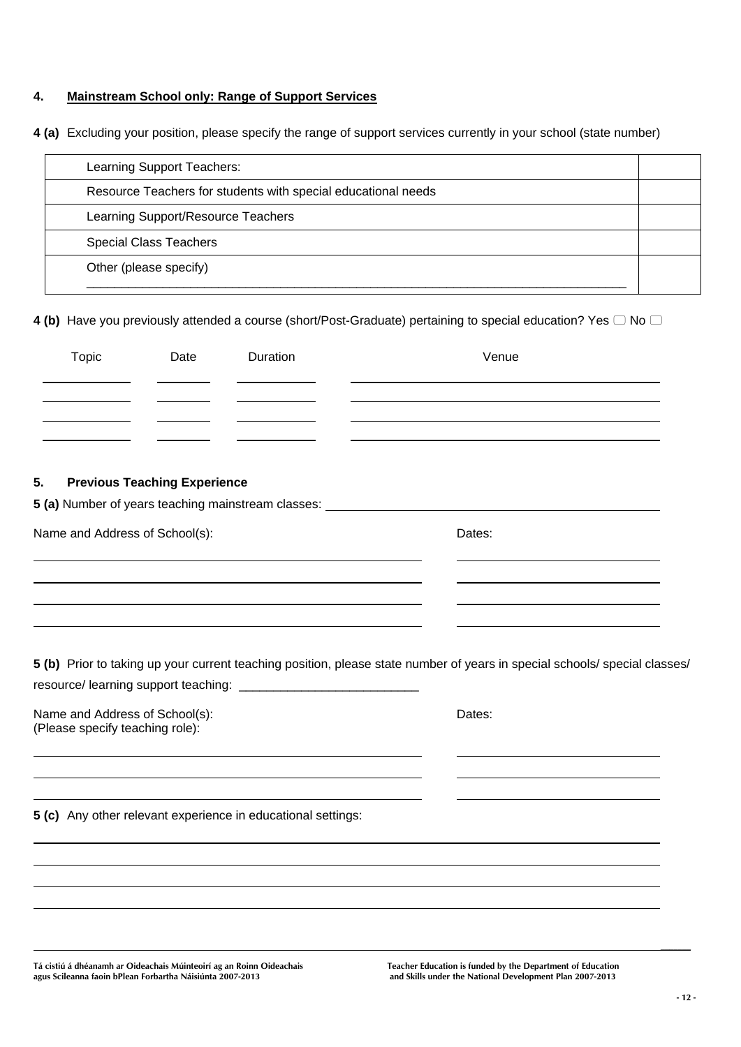## **4. Mainstream School only: Range of Support Services**

**4 (a)** Excluding your position, please specify the range of support services currently in your school (state number)

| Learning Support Teachers:                                    |  |
|---------------------------------------------------------------|--|
| Resource Teachers for students with special educational needs |  |
| Learning Support/Resource Teachers                            |  |
| <b>Special Class Teachers</b>                                 |  |
| Other (please specify)                                        |  |
|                                                               |  |

4 (b) Have you previously attended a course (short/Post-Graduate) pertaining to special education? Yes  $\Box$  No  $\Box$ 

| <b>Topic</b>                                                      | Date                                | Duration                                                     | Venue                                                                                                                      |
|-------------------------------------------------------------------|-------------------------------------|--------------------------------------------------------------|----------------------------------------------------------------------------------------------------------------------------|
|                                                                   |                                     |                                                              |                                                                                                                            |
|                                                                   |                                     |                                                              |                                                                                                                            |
| 5.                                                                | <b>Previous Teaching Experience</b> |                                                              | 5 (a) Number of years teaching mainstream classes: _____________________________                                           |
| Name and Address of School(s):                                    |                                     |                                                              | Dates:                                                                                                                     |
|                                                                   |                                     |                                                              |                                                                                                                            |
|                                                                   |                                     |                                                              |                                                                                                                            |
|                                                                   |                                     |                                                              |                                                                                                                            |
|                                                                   |                                     |                                                              | 5 (b) Prior to taking up your current teaching position, please state number of years in special schools/ special classes/ |
|                                                                   |                                     |                                                              |                                                                                                                            |
| Name and Address of School(s):<br>(Please specify teaching role): |                                     |                                                              | Dates:                                                                                                                     |
|                                                                   |                                     |                                                              |                                                                                                                            |
|                                                                   |                                     | 5 (c) Any other relevant experience in educational settings: |                                                                                                                            |
|                                                                   |                                     |                                                              |                                                                                                                            |
|                                                                   |                                     |                                                              |                                                                                                                            |

**Tá cistiú á dhéanamh ar Oideachais Múinteoirí ag an Roinn Oideachais Teacher Education is funded by the Department of Education**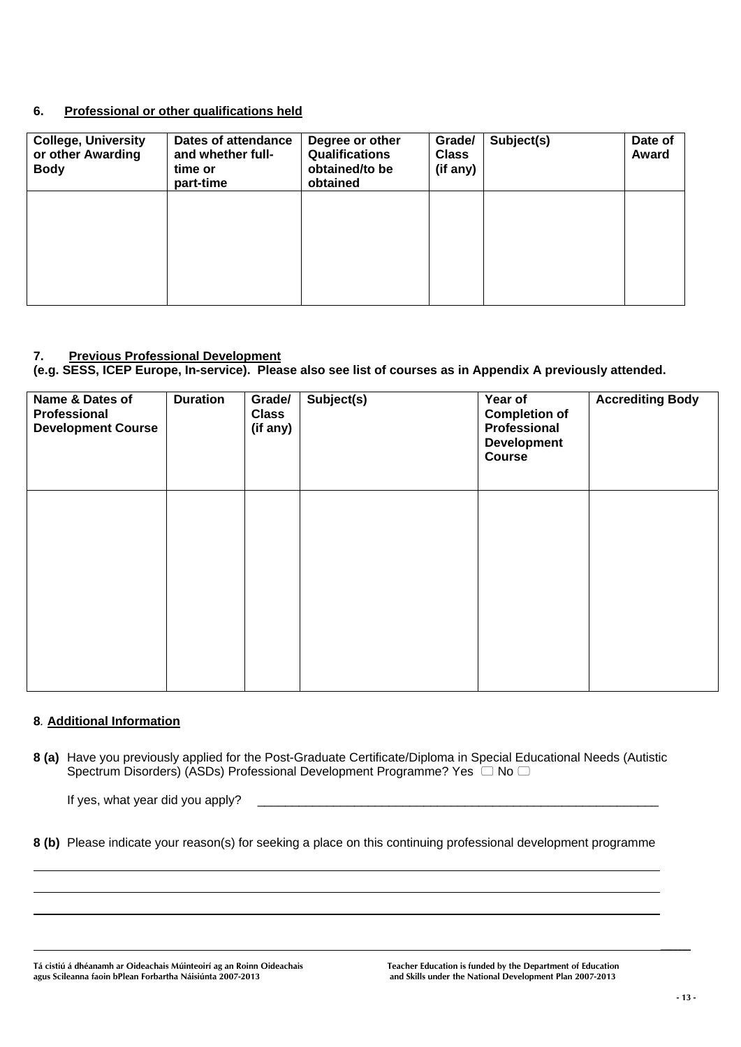## **6. Professional or other qualifications held**

| <b>College, University</b><br>or other Awarding<br><b>Body</b> | Dates of attendance<br>and whether full-<br>time or<br>part-time | Degree or other<br><b>Qualifications</b><br>obtained/to be<br>obtained | Grade/<br><b>Class</b><br>(if any) | Subject(s) | Date of<br>Award |
|----------------------------------------------------------------|------------------------------------------------------------------|------------------------------------------------------------------------|------------------------------------|------------|------------------|
|                                                                |                                                                  |                                                                        |                                    |            |                  |
|                                                                |                                                                  |                                                                        |                                    |            |                  |

#### **7. Previous Professional Development**

**(e.g. SESS, ICEP Europe, In-service). Please also see list of courses as in Appendix A previously attended.** 

| Name & Dates of<br>Professional<br><b>Development Course</b> | <b>Duration</b> | Grade/<br><b>Class</b><br>(if any) | Subject(s) | Year of<br><b>Completion of</b><br>Professional<br><b>Development</b><br>Course | <b>Accrediting Body</b> |
|--------------------------------------------------------------|-----------------|------------------------------------|------------|---------------------------------------------------------------------------------|-------------------------|
|                                                              |                 |                                    |            |                                                                                 |                         |
|                                                              |                 |                                    |            |                                                                                 |                         |

## **8***.* **Additional Information**

**8 (a)** Have you previously applied for the Post-Graduate Certificate/Diploma in Special Educational Needs (Autistic Spectrum Disorders) (ASDs) Professional Development Programme? Yes  $\Box$  No  $\Box$ 

If yes, what year did you apply? \_\_\_\_\_\_\_\_\_\_\_\_\_\_\_\_\_\_\_\_\_\_\_\_\_\_\_\_\_\_\_\_\_\_\_\_\_\_\_\_\_\_\_\_\_\_\_\_\_\_\_\_\_\_\_\_\_\_

**8 (b)** Please indicate your reason(s) for seeking a place on this continuing professional development programme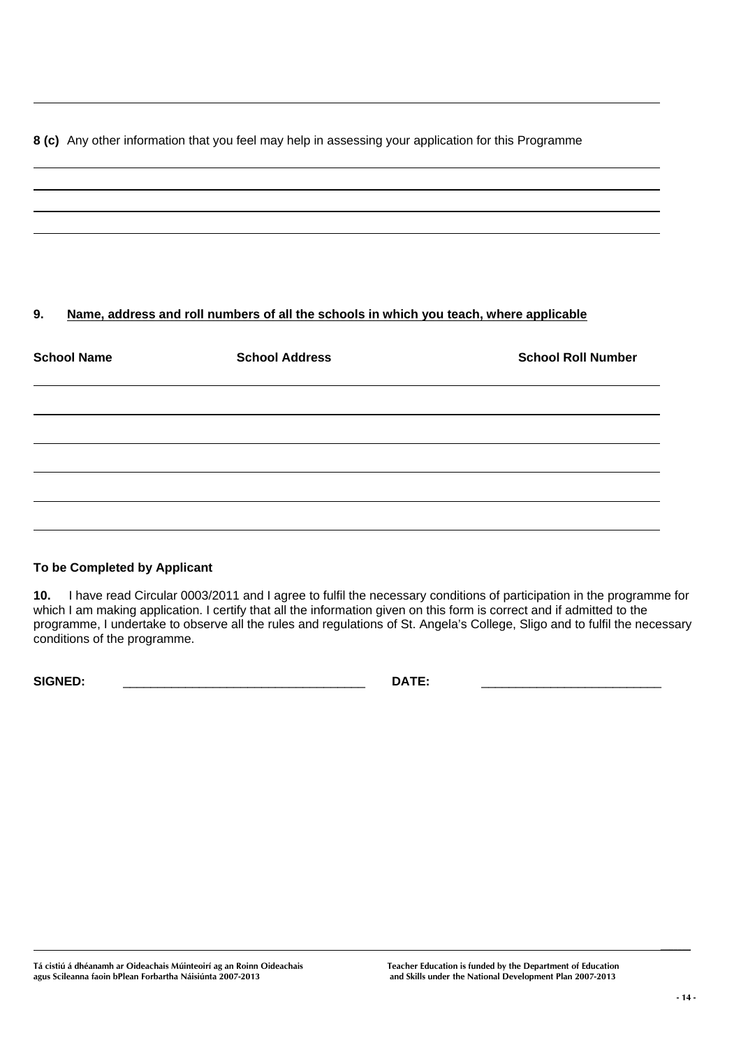## **8 (c)** Any other information that you feel may help in assessing your application for this Programme

## **9. Name, address and roll numbers of all the schools in which you teach, where applicable**

| <b>School Name</b> | <b>School Address</b> | <b>School Roll Number</b> |
|--------------------|-----------------------|---------------------------|
|                    |                       |                           |
|                    |                       |                           |
|                    |                       |                           |
|                    |                       |                           |
|                    |                       |                           |

## **To be Completed by Applicant**

**10.** I have read Circular 0003/2011 and I agree to fulfil the necessary conditions of participation in the programme for which I am making application. I certify that all the information given on this form is correct and if admitted to the programme, I undertake to observe all the rules and regulations of St. Angela's College, Sligo and to fulfil the necessary conditions of the programme.

**SIGNED:** \_\_\_\_\_\_\_\_\_\_\_\_\_\_\_\_\_\_\_\_\_\_\_\_\_\_\_\_\_\_\_\_\_\_\_ **DATE:** \_\_\_\_\_\_\_\_\_\_\_\_\_\_\_\_\_\_\_\_\_\_\_\_\_\_